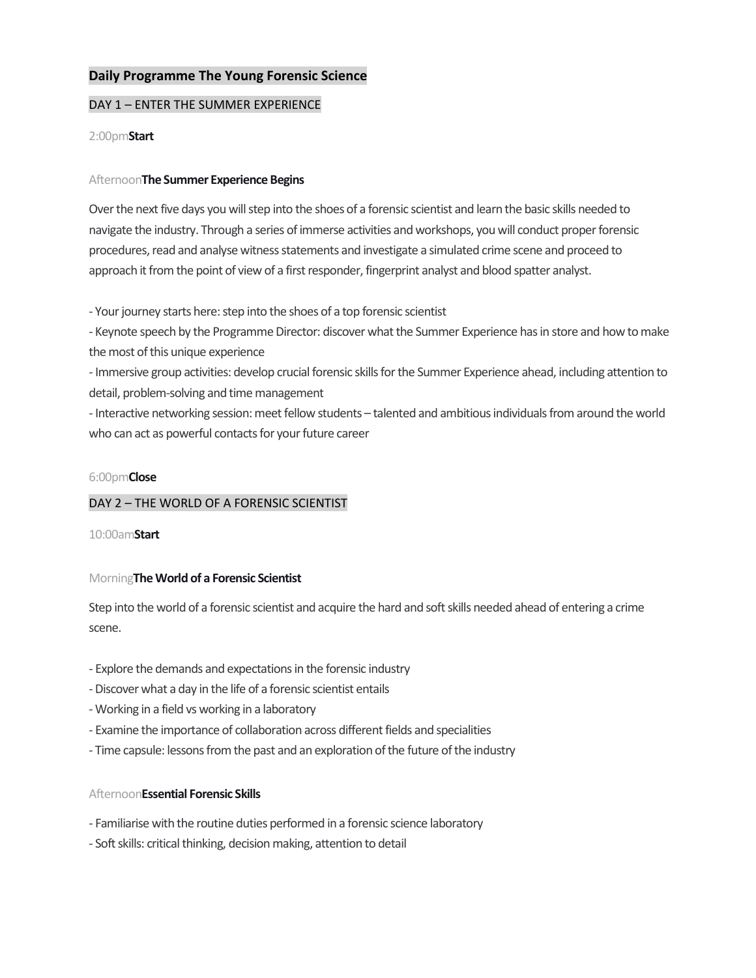# **Daily Programme The Young Forensic Science**

# DAY 1 – ENTER THE SUMMER EXPERIENCE

## 2:00pm**Start**

## Afternoon**The Summer Experience Begins**

Over the next five days you will step into the shoes of a forensic scientist and learn the basic skills needed to navigate the industry. Through a series of immerse activities and workshops, you will conduct proper forensic procedures, read and analyse witness statements and investigate a simulated crime scene and proceed to approach it from the point of view of a first responder, fingerprint analyst and blood spatter analyst.

- Your journey starts here: step into the shoes of a top forensic scientist

- Keynote speech by the Programme Director: discover what the Summer Experience has in store and how to make the most of this unique experience

- Immersive group activities: develop crucial forensic skills for the Summer Experience ahead, including attention to detail, problem-solving and time management

- Interactive networking session: meet fellow students – talented and ambitious individuals from around the world who can act as powerful contacts for your future career

## 6:00pm**Close**

# DAY 2 – THE WORLD OF A FORENSIC SCIENTIST

## 10:00am**Start**

# Morning**The World of a Forensic Scientist**

Step into the world of a forensic scientist and acquire the hard and soft skills needed ahead of entering a crime scene.

- Explore the demands and expectations in the forensic industry
- -Discover what a day in the life of a forensic scientist entails
- Working in a field vs working in a laboratory
- Examine the importance of collaboration across different fields and specialities
- Time capsule: lessons from the past and an exploration of the future of the industry

# Afternoon**Essential Forensic Skills**

- Familiarise with the routine duties performed in a forensic science laboratory
- Soft skills: critical thinking, decision making, attention to detail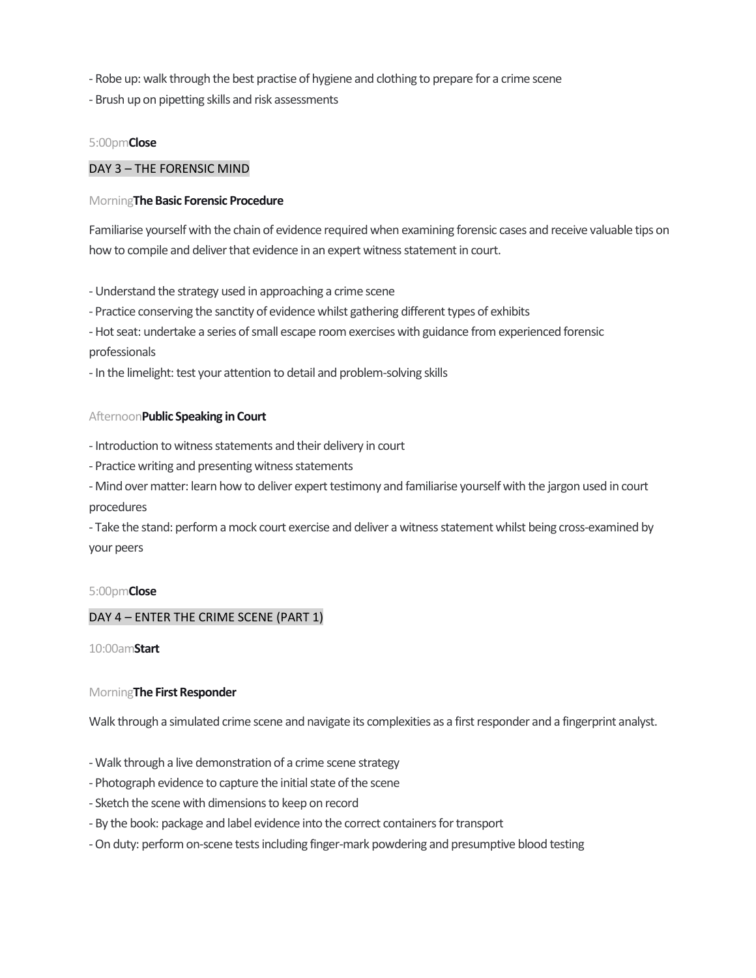- Robe up: walk through the best practise of hygiene and clothing to prepare for a crime scene
- Brush up on pipetting skills and risk assessments

# 5:00pm**Close**

## DAY 3 – THE FORENSIC MIND

## Morning**The Basic Forensic Procedure**

Familiarise yourself with the chain of evidence required when examining forensic cases and receive valuable tips on how to compile and deliver that evidence in an expert witness statement in court.

- Understand the strategy used in approaching a crime scene

- Practice conserving the sanctity of evidence whilst gathering different types of exhibits

- Hot seat: undertake a series of small escape room exercises with guidance from experienced forensic professionals

- In the limelight: test your attention to detail and problem-solving skills

## Afternoon**Public Speaking in Court**

- Introduction to witness statements and their delivery in court

- Practice writing and presenting witness statements

- Mind over matter: learn how to deliver expert testimony and familiarise yourself with the jargon used in court procedures

- Take the stand: perform a mock court exercise and deliver a witness statement whilst being cross-examined by your peers

## 5:00pm**Close**

# DAY 4 – ENTER THE CRIME SCENE (PART 1)

10:00am**Start**

# Morning**The First Responder**

Walk through a simulated crime scene and navigate its complexities as a first responder and a fingerprint analyst.

- Walk through a live demonstration of a crime scene strategy
- Photograph evidence to capture the initial state of the scene
- Sketch the scene with dimensions to keep on record
- By the book: package and label evidence into the correct containers for transport
- -On duty: perform on-scene tests including finger-mark powdering and presumptive blood testing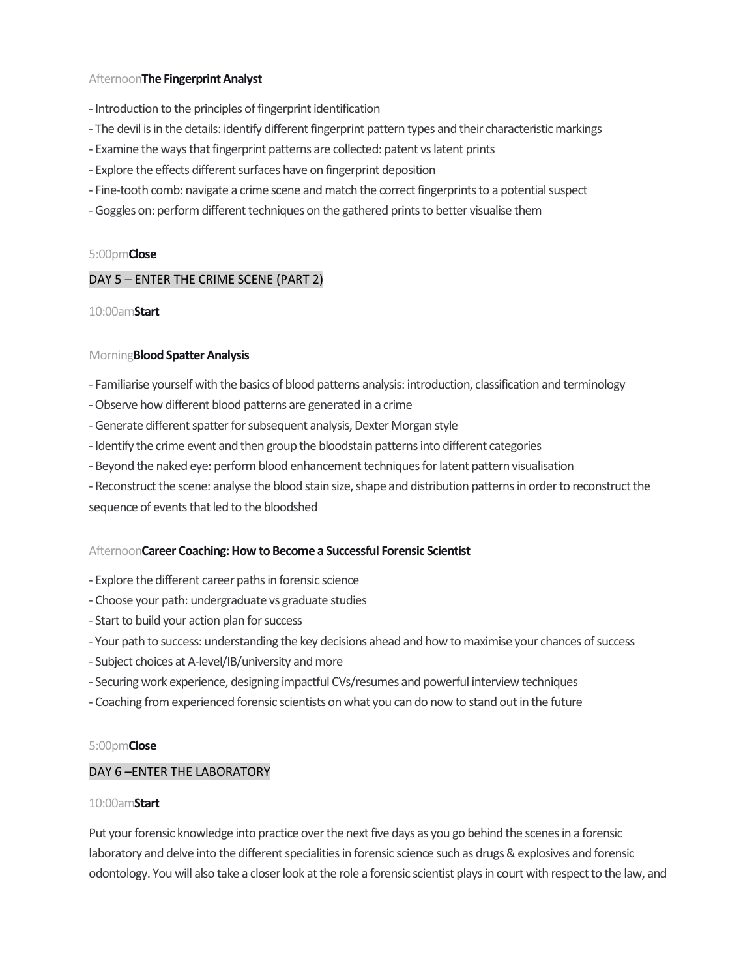# Afternoon**The Fingerprint Analyst**

- Introduction to the principles of fingerprint identification
- The devil is in the details: identify different fingerprint pattern types and their characteristic markings
- Examine the ways that fingerprint patterns are collected: patent vs latent prints
- Explore the effects different surfaces have on fingerprint deposition
- Fine-tooth comb: navigate a crime scene and match the correct fingerprints to a potential suspect
- Goggles on: perform different techniques on the gathered prints to better visualise them

## 5:00pm**Close**

## DAY 5 – ENTER THE CRIME SCENE (PART 2)

## 10:00am**Start**

## Morning**Blood Spatter Analysis**

- Familiarise yourself with the basics of blood patterns analysis: introduction, classification and terminology
- -Observe how different blood patterns are generated in a crime
- Generate different spatter for subsequent analysis, Dexter Morgan style
- Identify the crime event and then group the bloodstain patterns into different categories
- Beyond the naked eye: perform blood enhancement techniques for latent pattern visualisation
- Reconstruct the scene: analyse the blood stain size, shape and distribution patterns in order to reconstruct the

sequence of events that led to the bloodshed

## Afternoon**Career Coaching: How to Become a Successful Forensic Scientist**

- Explore the different career paths in forensic science
- Choose your path: undergraduate vs graduate studies
- Start to build your action plan for success
- Your path to success: understanding the key decisions ahead and how to maximise your chances of success
- Subject choices at A-level/IB/university and more
- Securing work experience, designing impactful CVs/resumes and powerful interview techniques
- Coaching from experienced forensic scientists on what you can do now to stand out in the future

## 5:00pm**Close**

## DAY 6 –ENTER THE LABORATORY

## 10:00am**Start**

Put your forensic knowledge into practice over the next five days as you go behind the scenes in a forensic laboratory and delve into the different specialities in forensic science such as drugs & explosives and forensic odontology. You will also take a closer look at the role a forensic scientist plays in court with respect to the law, and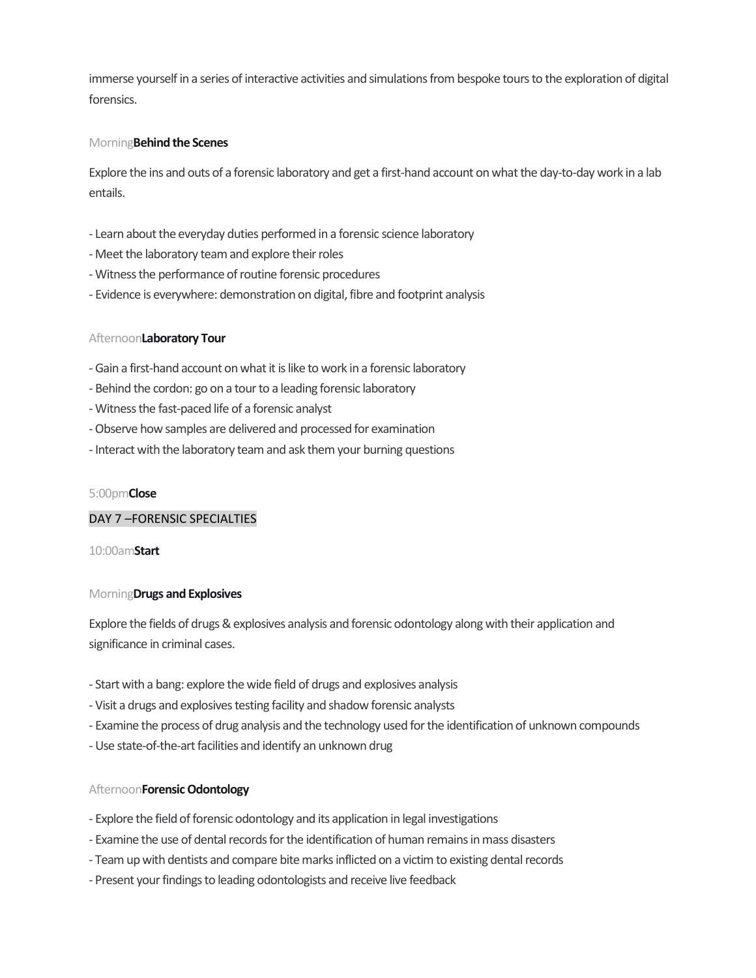immerse yourself in a series of interactive activities and simulations from bespoke tours to the exploration of digital forensics.

## Morning**Behind the Scenes**

Explore the ins and outs of a forensic laboratory and get a first-hand account on what the day-to-day work in a lab entails.

- Learn about the everyday duties performed in a forensic science laboratory
- Meet the laboratory team and explore their roles
- Witness the performance of routine forensic procedures
- Evidence is everywhere: demonstration on digital, fibre and footprint analysis

## Afternoon**Laboratory Tour**

- Gain a first-hand account on what it is like to work in a forensic laboratory
- Behind the cordon: go on a tour to a leading forensic laboratory
- Witness the fast-paced life of a forensic analyst
- -Observe how samples are delivered and processed for examination
- Interact with the laboratory team and ask them your burning questions

## 5:00pm**Close**

## DAY 7 –FORENSIC SPECIALTIES

## 10:00am**Start**

## Morning**Drugs and Explosives**

Explore the fields of drugs & explosives analysis and forensic odontology along with their application and significance in criminal cases.

- Start with a bang: explore the wide field of drugs and explosives analysis
- Visit a drugs and explosives testing facility and shadow forensic analysts
- Examine the process of drug analysis and the technology used for the identification of unknown compounds
- Use state-of-the-art facilities and identify an unknown drug

## Afternoon**Forensic Odontology**

- Explore the field of forensic odontology and its application in legal investigations
- Examine the use of dental records for the identification of human remains in mass disasters
- Team up with dentists and compare bite marks inflicted on a victim to existing dental records
- Present your findings to leading odontologists and receive live feedback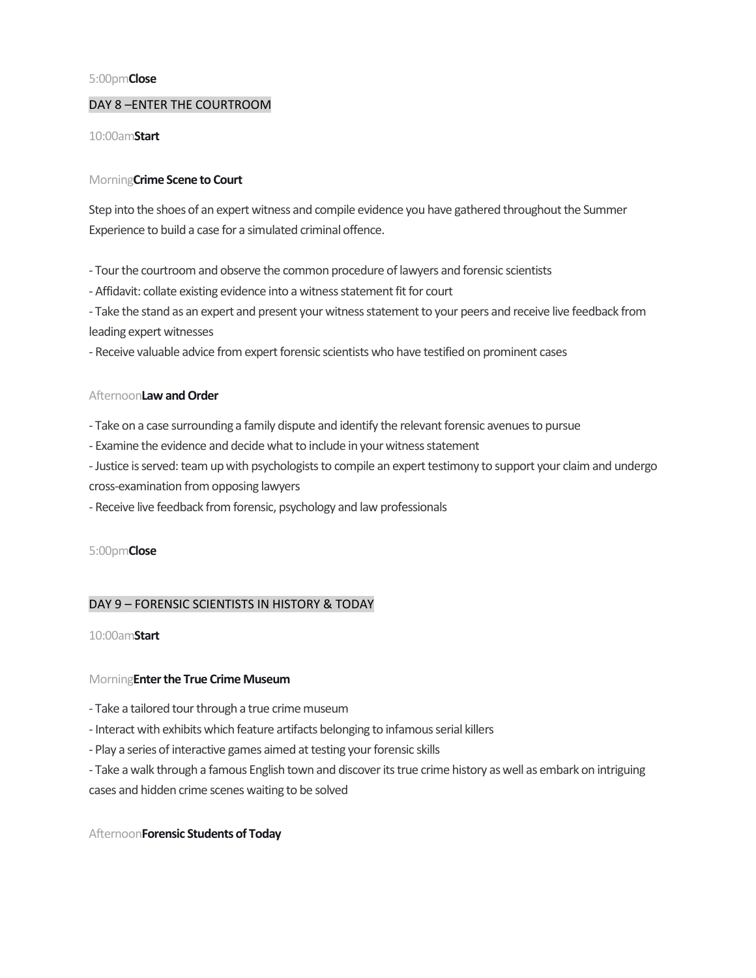#### 5:00pm**Close**

## DAY 8 –ENTER THE COURTROOM

#### 10:00am**Start**

## Morning**Crime Scene to Court**

Step into the shoes of an expert witness and compile evidence you have gathered throughout the Summer Experience to build a case for a simulated criminal offence.

- Tour the courtroom and observe the common procedure of lawyers and forensic scientists

- Affidavit: collate existing evidence into a witness statement fit for court

- Take the stand as an expert and present your witness statement to your peers and receive live feedback from leading expert witnesses

- Receive valuable advice from expert forensic scientists who have testified on prominent cases

## Afternoon**Law and Order**

- Take on a case surrounding a family dispute and identify the relevant forensic avenues to pursue

- Examine the evidence and decide what to include in your witness statement
- Justice is served: team up with psychologists to compile an expert testimony to support your claim and undergo
- cross-examination from opposing lawyers
- Receive live feedback from forensic, psychology and law professionals

## 5:00pm**Close**

# DAY 9 – FORENSIC SCIENTISTS IN HISTORY & TODAY

## 10:00am**Start**

## Morning**Enter the True Crime Museum**

- Take a tailored tour through a true crime museum
- Interact with exhibits which feature artifacts belonging to infamous serial killers
- Play a series of interactive games aimed at testing your forensic skills
- Take a walk through a famous English town and discover its true crime history as well as embark on intriguing cases and hidden crime scenes waiting to be solved

## Afternoon**Forensic Students of Today**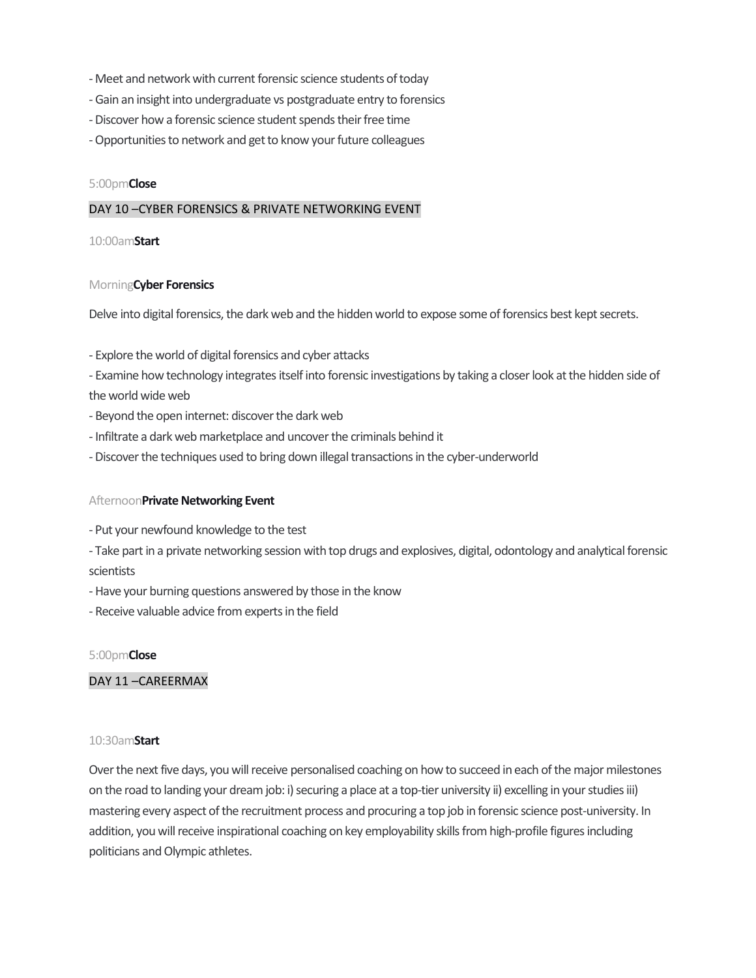- Meet and network with current forensic science students of today
- Gain an insight into undergraduate vs postgraduate entry to forensics
- -Discover how a forensic science student spends their free time
- -Opportunities to network and get to know your future colleagues

#### 5:00pm**Close**

#### DAY 10 –CYBER FORENSICS & PRIVATE NETWORKING EVENT

#### 10:00am**Start**

#### Morning**Cyber Forensics**

Delve into digital forensics, the dark web and the hidden world to expose some of forensics best kept secrets.

- Explore the world of digital forensics and cyber attacks

- Examine how technology integrates itself into forensic investigations by taking a closer look at the hidden side of the world wide web

- Beyond the open internet: discover the dark web
- Infiltrate a dark web marketplace and uncover the criminals behind it
- -Discover the techniques used to bring down illegal transactions in the cyber-underworld

#### Afternoon**Private Networking Event**

- Put your newfound knowledge to the test
- Take part in a private networking session with top drugs and explosives, digital, odontology and analytical forensic scientists
- Have your burning questions answered by those in the know
- Receive valuable advice from experts in the field

## 5:00pm**Close**

# DAY 11 –CAREERMAX

#### 10:30am**Start**

Over the next five days, you will receive personalised coaching on how to succeed in each of the major milestones on the road to landing your dream job: i) securing a place at a top-tier university ii) excelling in your studies iii) mastering every aspect of the recruitment process and procuring a top job in forensic science post-university. In addition, you will receive inspirational coaching on key employability skills from high-profile figures including politicians and Olympic athletes.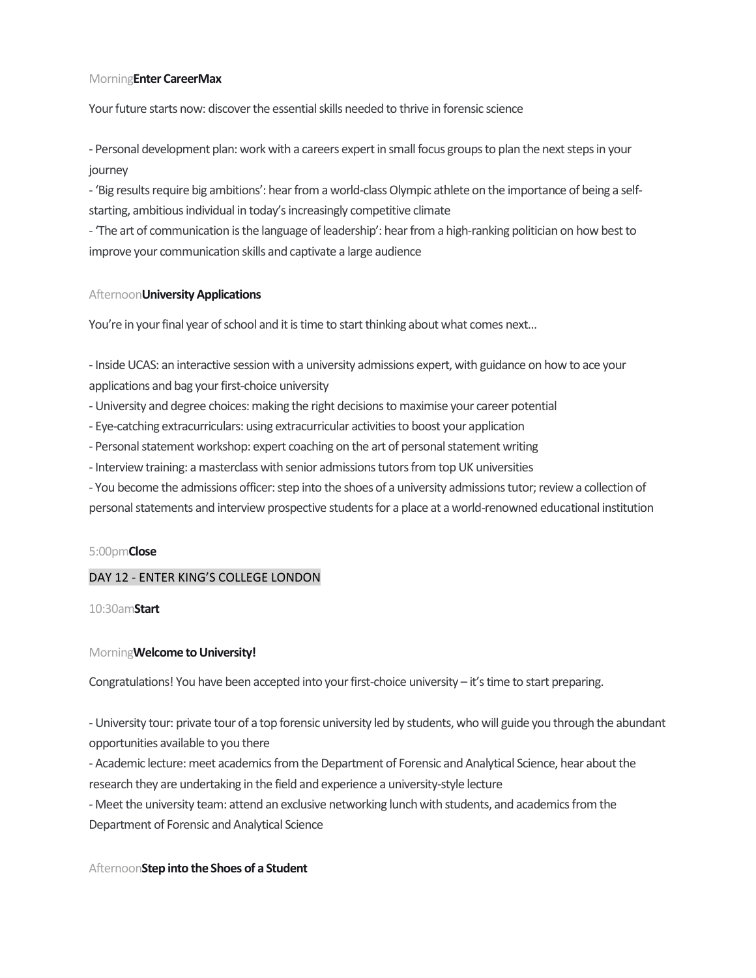#### Morning**Enter CareerMax**

Your future starts now: discover the essential skills needed to thrive in forensic science

- Personal development plan: work with a careers expert in small focus groups to plan the next steps in your journey

- 'Big results require big ambitions': hear from a world-class Olympic athlete on the importance of being a selfstarting, ambitious individual in today's increasingly competitive climate

- 'The art of communication is the language of leadership': hear from a high-ranking politician on how best to improve your communication skills and captivate a large audience

#### Afternoon**University Applications**

You're in your final year of school and it is time to start thinking about what comes next...

- Inside UCAS: an interactive session with a university admissions expert, with guidance on how to ace your applications and bag your first-choice university

- University and degree choices: making the right decisions to maximise your career potential
- Eye-catching extracurriculars: using extracurricular activities to boost your application
- Personal statement workshop: expert coaching on the art of personal statement writing
- Interview training: a masterclass with senior admissions tutors from top UK universities
- You become the admissions officer: step into the shoes of a university admissions tutor; review a collection of
- personal statements and interview prospective students for a place at a world-renowned educational institution

#### 5:00pm**Close**

## DAY 12 - ENTER KING'S COLLEGE LONDON

10:30am**Start**

#### Morning**Welcome to University!**

Congratulations! You have been accepted into your first-choice university – it's time to start preparing.

- University tour: private tour of a top forensic university led by students, who will guide you through the abundant opportunities available to you there

- Academic lecture: meet academics from the Department of Forensic and Analytical Science, hear about the research they are undertaking in the field and experience a university-style lecture

- Meet the university team: attend an exclusive networking lunch with students, and academics from the Department of Forensic and Analytical Science

#### Afternoon**Step into the Shoes of a Student**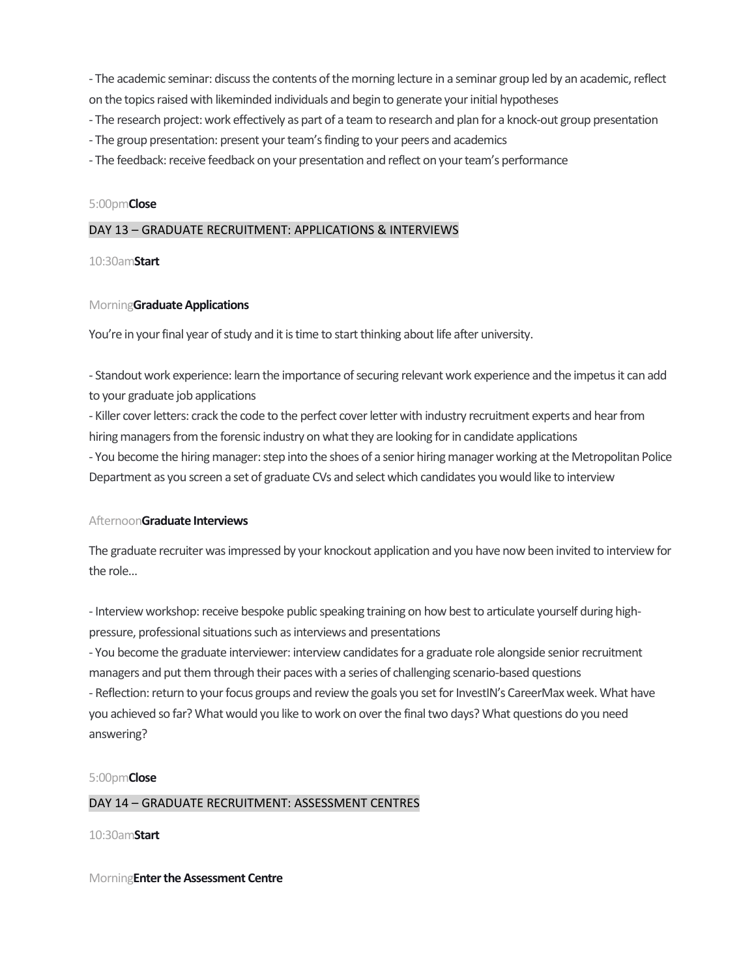- The academic seminar: discuss the contents of the morning lecture in a seminar group led by an academic, reflect on the topics raised with likeminded individuals and begin to generate your initial hypotheses

- The research project: work effectively as part of a team to research and plan for a knock-out group presentation
- The group presentation: present your team's finding to your peers and academics
- The feedback: receive feedback on your presentation and reflect on your team's performance

## 5:00pm**Close**

## DAY 13 – GRADUATE RECRUITMENT: APPLICATIONS & INTERVIEWS

## 10:30am**Start**

## Morning**Graduate Applications**

You're in your final year of study and it is time to start thinking about life after university.

- Standout work experience: learn the importance of securing relevant work experience and the impetus it can add to your graduate job applications

- Killer cover letters: crack the code to the perfect cover letter with industry recruitment experts and hear from hiring managers from the forensic industry on what they are looking for in candidate applications

- You become the hiring manager: step into the shoes of a senior hiring manager working at the Metropolitan Police Department as you screen a set of graduate CVs and select which candidates you would like to interview

## Afternoon**Graduate Interviews**

The graduate recruiter wasimpressed by your knockout application and you have now been invited to interview for the role…

- Interview workshop: receive bespoke public speaking training on how best to articulate yourself during highpressure, professional situations such as interviews and presentations

- You become the graduate interviewer: interview candidates for a graduate role alongside senior recruitment managers and put them through their paces with a series of challenging scenario-based questions - Reflection: return to your focus groups and review the goals you set for InvestIN's CareerMax week. What have you achieved so far? What would you like to work on over the final two days? What questions do you need answering?

## 5:00pm**Close**

# DAY 14 – GRADUATE RECRUITMENT: ASSESSMENT CENTRES

10:30am**Start**

Morning**Enter the Assessment Centre**